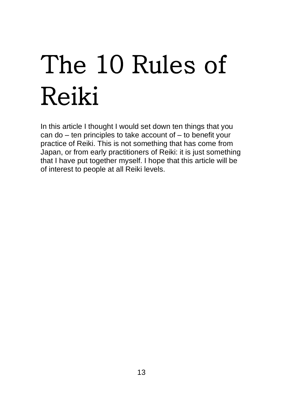# The 10 Rules of Reiki

In this article I thought I would set down ten things that you can do – ten principles to take account of – to benefit your practice of Reiki. This is not something that has come from Japan, or from early practitioners of Reiki: it is just something that I have put together myself. I hope that this article will be of interest to people at all Reiki levels.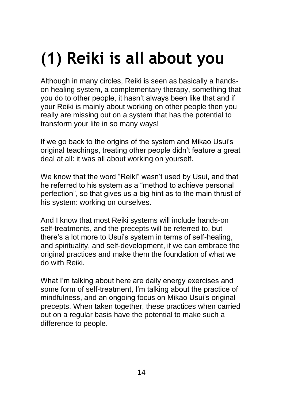# **(1) Reiki is all about you**

Although in many circles, Reiki is seen as basically a handson healing system, a complementary therapy, something that you do to other people, it hasn't always been like that and if your Reiki is mainly about working on other people then you really are missing out on a system that has the potential to transform your life in so many ways!

If we go back to the origins of the system and Mikao Usui's original teachings, treating other people didn't feature a great deal at all: it was all about working on yourself.

We know that the word "Reiki" wasn't used by Usui, and that he referred to his system as a "method to achieve personal perfection", so that gives us a big hint as to the main thrust of his system: working on ourselves.

And I know that most Reiki systems will include hands-on self-treatments, and the precepts will be referred to, but there's a lot more to Usui's system in terms of self-healing, and spirituality, and self-development, if we can embrace the original practices and make them the foundation of what we do with Reiki.

What I'm talking about here are daily energy exercises and some form of self-treatment, I'm talking about the practice of mindfulness, and an ongoing focus on Mikao Usui's original precepts. When taken together, these practices when carried out on a regular basis have the potential to make such a difference to people.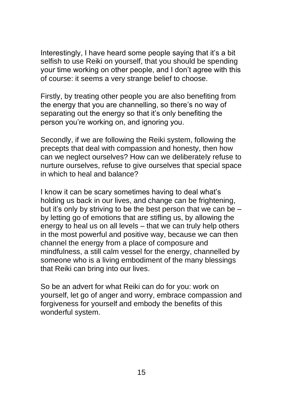Interestingly, I have heard some people saying that it's a bit selfish to use Reiki on yourself, that you should be spending your time working on other people, and I don't agree with this of course: it seems a very strange belief to choose.

Firstly, by treating other people you are also benefiting from the energy that you are channelling, so there's no way of separating out the energy so that it's only benefiting the person you're working on, and ignoring you.

Secondly, if we are following the Reiki system, following the precepts that deal with compassion and honesty, then how can we neglect ourselves? How can we deliberately refuse to nurture ourselves, refuse to give ourselves that special space in which to heal and balance?

I know it can be scary sometimes having to deal what's holding us back in our lives, and change can be frightening, but it's only by striving to be the best person that we can be – by letting go of emotions that are stifling us, by allowing the energy to heal us on all levels – that we can truly help others in the most powerful and positive way, because we can then channel the energy from a place of composure and mindfulness, a still calm vessel for the energy, channelled by someone who is a living embodiment of the many blessings that Reiki can bring into our lives.

So be an advert for what Reiki can do for you: work on yourself, let go of anger and worry, embrace compassion and forgiveness for yourself and embody the benefits of this wonderful system.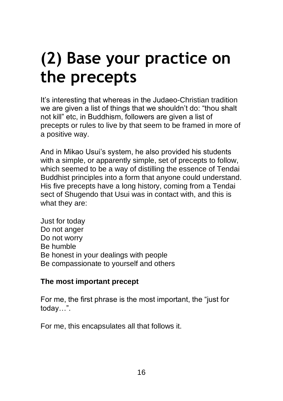### **(2) Base your practice on the precepts**

It's interesting that whereas in the Judaeo-Christian tradition we are given a list of things that we shouldn't do: "thou shalt not kill" etc, in Buddhism, followers are given a list of precepts or rules to live by that seem to be framed in more of a positive way.

And in Mikao Usui's system, he also provided his students with a simple, or apparently simple, set of precepts to follow, which seemed to be a way of distilling the essence of Tendai Buddhist principles into a form that anyone could understand. His five precepts have a long history, coming from a Tendai sect of Shugendo that Usui was in contact with, and this is what they are:

Just for today Do not anger Do not worry Be humble Be honest in your dealings with people Be compassionate to yourself and others

#### **The most important precept**

For me, the first phrase is the most important, the "just for today…".

For me, this encapsulates all that follows it.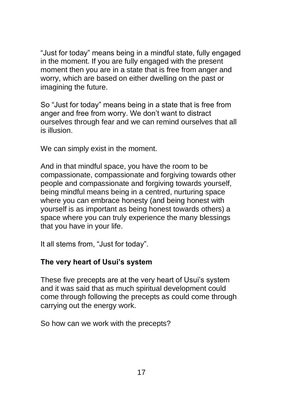"Just for today" means being in a mindful state, fully engaged in the moment. If you are fully engaged with the present moment then you are in a state that is free from anger and worry, which are based on either dwelling on the past or imagining the future.

So "Just for today" means being in a state that is free from anger and free from worry. We don't want to distract ourselves through fear and we can remind ourselves that all is illusion.

We can simply exist in the moment.

And in that mindful space, you have the room to be compassionate, compassionate and forgiving towards other people and compassionate and forgiving towards yourself, being mindful means being in a centred, nurturing space where you can embrace honesty (and being honest with yourself is as important as being honest towards others) a space where you can truly experience the many blessings that you have in your life.

It all stems from, "Just for today".

#### **The very heart of Usui's system**

These five precepts are at the very heart of Usui's system and it was said that as much spiritual development could come through following the precepts as could come through carrying out the energy work.

So how can we work with the precepts?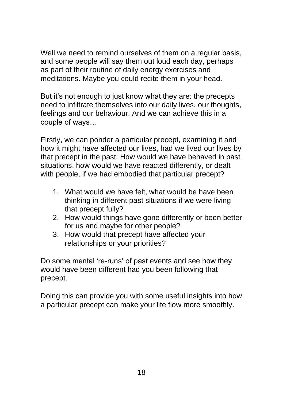Well we need to remind ourselves of them on a regular basis, and some people will say them out loud each day, perhaps as part of their routine of daily energy exercises and meditations. Maybe you could recite them in your head.

But it's not enough to just know what they are: the precepts need to infiltrate themselves into our daily lives, our thoughts, feelings and our behaviour. And we can achieve this in a couple of ways…

Firstly, we can ponder a particular precept, examining it and how it might have affected our lives, had we lived our lives by that precept in the past. How would we have behaved in past situations, how would we have reacted differently, or dealt with people, if we had embodied that particular precept?

- 1. What would we have felt, what would be have been thinking in different past situations if we were living that precept fully?
- 2. How would things have gone differently or been better for us and maybe for other people?
- 3. How would that precept have affected your relationships or your priorities?

Do some mental 're-runs' of past events and see how they would have been different had you been following that precept.

Doing this can provide you with some useful insights into how a particular precept can make your life flow more smoothly.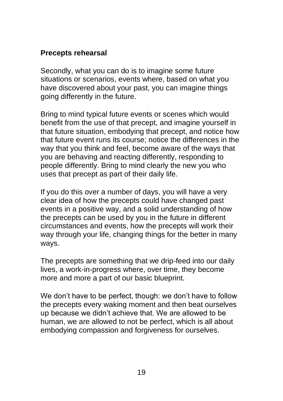#### **Precepts rehearsal**

Secondly, what you can do is to imagine some future situations or scenarios, events where, based on what you have discovered about your past, you can imagine things going differently in the future.

Bring to mind typical future events or scenes which would benefit from the use of that precept, and imagine yourself in that future situation, embodying that precept, and notice how that future event runs its course; notice the differences in the way that you think and feel, become aware of the ways that you are behaving and reacting differently, responding to people differently. Bring to mind clearly the new you who uses that precept as part of their daily life.

If you do this over a number of days, you will have a very clear idea of how the precepts could have changed past events in a positive way, and a solid understanding of how the precepts can be used by you in the future in different circumstances and events, how the precepts will work their way through your life, changing things for the better in many ways.

The precepts are something that we drip-feed into our daily lives, a work-in-progress where, over time, they become more and more a part of our basic blueprint.

We don't have to be perfect, though: we don't have to follow the precepts every waking moment and then beat ourselves up because we didn't achieve that. We are allowed to be human, we are allowed to not be perfect, which is all about embodying compassion and forgiveness for ourselves.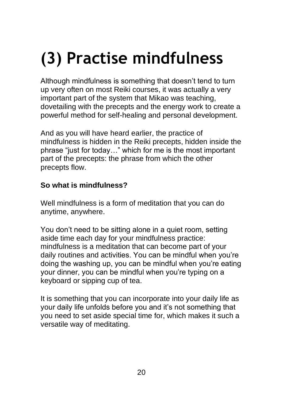# **(3) Practise mindfulness**

Although mindfulness is something that doesn't tend to turn up very often on most Reiki courses, it was actually a very important part of the system that Mikao was teaching, dovetailing with the precepts and the energy work to create a powerful method for self-healing and personal development.

And as you will have heard earlier, the practice of mindfulness is hidden in the Reiki precepts, hidden inside the phrase "just for today…" which for me is the most important part of the precepts: the phrase from which the other precepts flow.

#### **So what is mindfulness?**

Well mindfulness is a form of meditation that you can do anytime, anywhere.

You don't need to be sitting alone in a quiet room, setting aside time each day for your mindfulness practice: mindfulness is a meditation that can become part of your daily routines and activities. You can be mindful when you're doing the washing up, you can be mindful when you're eating your dinner, you can be mindful when you're typing on a keyboard or sipping cup of tea.

It is something that you can incorporate into your daily life as your daily life unfolds before you and it's not something that you need to set aside special time for, which makes it such a versatile way of meditating.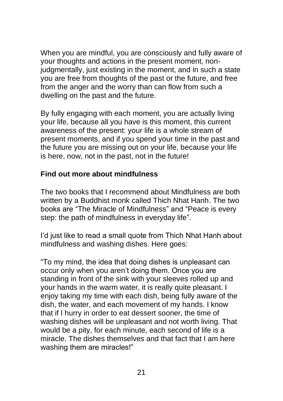When you are mindful, you are consciously and fully aware of your thoughts and actions in the present moment, nonjudgmentally, just existing in the moment, and in such a state you are free from thoughts of the past or the future, and free from the anger and the worry than can flow from such a dwelling on the past and the future.

By fully engaging with each moment, you are actually living your life, because all you have is this moment, this current awareness of the present: your life is a whole stream of present moments, and if you spend your time in the past and the future you are missing out on your life, because your life is here, now, not in the past, not in the future!

#### **Find out more about mindfulness**

The two books that I recommend about Mindfulness are both written by a Buddhist monk called Thich Nhat Hanh. The two books are "The Miracle of Mindfulness" and "Peace is every step: the path of mindfulness in everyday life".

I'd just like to read a small quote from Thich Nhat Hanh about mindfulness and washing dishes. Here goes:

"To my mind, the idea that doing dishes is unpleasant can occur only when you aren't doing them. Once you are standing in front of the sink with your sleeves rolled up and your hands in the warm water, it is really quite pleasant. I enjoy taking my time with each dish, being fully aware of the dish, the water, and each movement of my hands. I know that if I hurry in order to eat dessert sooner, the time of washing dishes will be unpleasant and not worth living. That would be a pity, for each minute, each second of life is a miracle. The dishes themselves and that fact that I am here washing them are miracles!"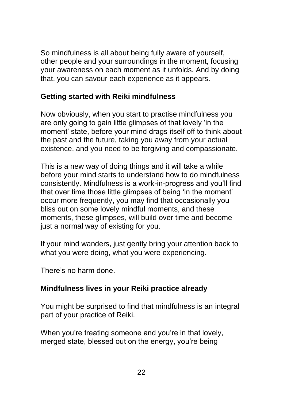So mindfulness is all about being fully aware of yourself, other people and your surroundings in the moment, focusing your awareness on each moment as it unfolds. And by doing that, you can savour each experience as it appears.

#### **Getting started with Reiki mindfulness**

Now obviously, when you start to practise mindfulness you are only going to gain little glimpses of that lovely 'in the moment' state, before your mind drags itself off to think about the past and the future, taking you away from your actual existence, and you need to be forgiving and compassionate.

This is a new way of doing things and it will take a while before your mind starts to understand how to do mindfulness consistently. Mindfulness is a work-in-progress and you'll find that over time those little glimpses of being 'in the moment' occur more frequently, you may find that occasionally you bliss out on some lovely mindful moments, and these moments, these glimpses, will build over time and become just a normal way of existing for you.

If your mind wanders, just gently bring your attention back to what you were doing, what you were experiencing.

There's no harm done.

#### **Mindfulness lives in your Reiki practice already**

You might be surprised to find that mindfulness is an integral part of your practice of Reiki.

When you're treating someone and you're in that lovely, merged state, blessed out on the energy, you're being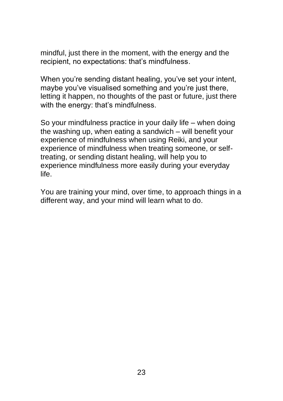mindful, just there in the moment, with the energy and the recipient, no expectations: that's mindfulness.

When you're sending distant healing, you've set your intent, maybe you've visualised something and you're just there, letting it happen, no thoughts of the past or future, just there with the energy: that's mindfulness.

So your mindfulness practice in your daily life – when doing the washing up, when eating a sandwich – will benefit your experience of mindfulness when using Reiki, and your experience of mindfulness when treating someone, or selftreating, or sending distant healing, will help you to experience mindfulness more easily during your everyday life.

You are training your mind, over time, to approach things in a different way, and your mind will learn what to do.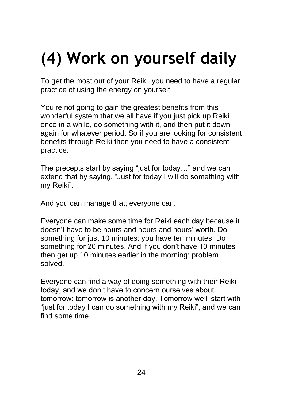# **(4) Work on yourself daily**

To get the most out of your Reiki, you need to have a regular practice of using the energy on yourself.

You're not going to gain the greatest benefits from this wonderful system that we all have if you just pick up Reiki once in a while, do something with it, and then put it down again for whatever period. So if you are looking for consistent benefits through Reiki then you need to have a consistent practice.

The precepts start by saying "just for today…" and we can extend that by saying, "Just for today I will do something with my Reiki".

And you can manage that; everyone can.

Everyone can make some time for Reiki each day because it doesn't have to be hours and hours and hours' worth. Do something for just 10 minutes: you have ten minutes. Do something for 20 minutes. And if you don't have 10 minutes then get up 10 minutes earlier in the morning: problem solved.

Everyone can find a way of doing something with their Reiki today, and we don't have to concern ourselves about tomorrow: tomorrow is another day. Tomorrow we'll start with "just for today I can do something with my Reiki", and we can find some time.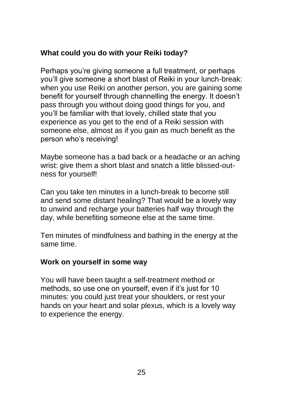#### **What could you do with your Reiki today?**

Perhaps you're giving someone a full treatment, or perhaps you'll give someone a short blast of Reiki in your lunch-break: when you use Reiki on another person, you are gaining some benefit for yourself through channelling the energy. It doesn't pass through you without doing good things for you, and you'll be familiar with that lovely, chilled state that you experience as you get to the end of a Reiki session with someone else, almost as if you gain as much benefit as the person who's receiving!

Maybe someone has a bad back or a headache or an aching wrist: give them a short blast and snatch a little blissed-outness for yourself!

Can you take ten minutes in a lunch-break to become still and send some distant healing? That would be a lovely way to unwind and recharge your batteries half way through the day, while benefiting someone else at the same time.

Ten minutes of mindfulness and bathing in the energy at the same time.

#### **Work on yourself in some way**

You will have been taught a self-treatment method or methods, so use one on yourself, even if it's just for 10 minutes: you could just treat your shoulders, or rest your hands on your heart and solar plexus, which is a lovely way to experience the energy.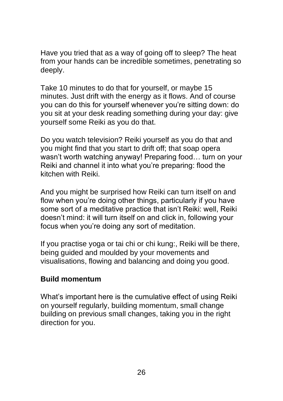Have you tried that as a way of going off to sleep? The heat from your hands can be incredible sometimes, penetrating so deeply.

Take 10 minutes to do that for yourself, or maybe 15 minutes. Just drift with the energy as it flows. And of course you can do this for yourself whenever you're sitting down: do you sit at your desk reading something during your day: give yourself some Reiki as you do that.

Do you watch television? Reiki yourself as you do that and you might find that you start to drift off; that soap opera wasn't worth watching anyway! Preparing food… turn on your Reiki and channel it into what you're preparing: flood the kitchen with Reiki.

And you might be surprised how Reiki can turn itself on and flow when you're doing other things, particularly if you have some sort of a meditative practice that isn't Reiki: well, Reiki doesn't mind: it will turn itself on and click in, following your focus when you're doing any sort of meditation.

If you practise yoga or tai chi or chi kung:, Reiki will be there, being guided and moulded by your movements and visualisations, flowing and balancing and doing you good.

#### **Build momentum**

What's important here is the cumulative effect of using Reiki on yourself regularly, building momentum, small change building on previous small changes, taking you in the right direction for you.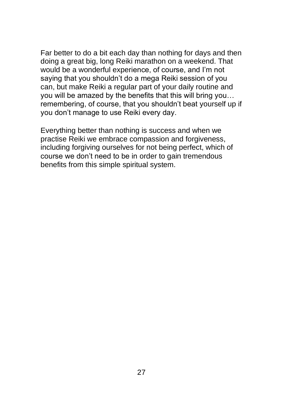Far better to do a bit each day than nothing for days and then doing a great big, long Reiki marathon on a weekend. That would be a wonderful experience, of course, and I'm not saying that you shouldn't do a mega Reiki session of you can, but make Reiki a regular part of your daily routine and you will be amazed by the benefits that this will bring you… remembering, of course, that you shouldn't beat yourself up if you don't manage to use Reiki every day.

Everything better than nothing is success and when we practise Reiki we embrace compassion and forgiveness, including forgiving ourselves for not being perfect, which of course we don't need to be in order to gain tremendous benefits from this simple spiritual system.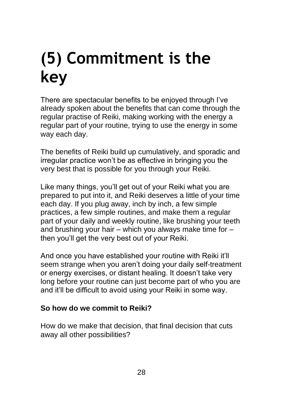### **(5) Commitment is the key**

There are spectacular benefits to be enjoyed through I've already spoken about the benefits that can come through the regular practise of Reiki, making working with the energy a regular part of your routine, trying to use the energy in some way each day.

The benefits of Reiki build up cumulatively, and sporadic and irregular practice won't be as effective in bringing you the very best that is possible for you through your Reiki.

Like many things, you'll get out of your Reiki what you are prepared to put into it, and Reiki deserves a little of your time each day. If you plug away, inch by inch, a few simple practices, a few simple routines, and make them a regular part of your daily and weekly routine, like brushing your teeth and brushing your hair – which you always make time for – then you'll get the very best out of your Reiki.

And once you have established your routine with Reiki it'll seem strange when you aren't doing your daily self-treatment or energy exercises, or distant healing. It doesn't take very long before your routine can just become part of who you are and it'll be difficult to avoid using your Reiki in some way.

#### **So how do we commit to Reiki?**

How do we make that decision, that final decision that cuts away all other possibilities?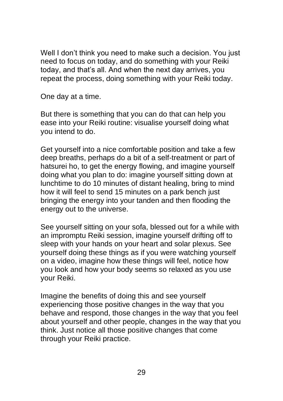Well I don't think you need to make such a decision. You just need to focus on today, and do something with your Reiki today, and that's all. And when the next day arrives, you repeat the process, doing something with your Reiki today.

One day at a time.

But there is something that you can do that can help you ease into your Reiki routine: visualise yourself doing what you intend to do.

Get yourself into a nice comfortable position and take a few deep breaths, perhaps do a bit of a self-treatment or part of hatsurei ho, to get the energy flowing, and imagine yourself doing what you plan to do: imagine yourself sitting down at lunchtime to do 10 minutes of distant healing, bring to mind how it will feel to send 15 minutes on a park bench just bringing the energy into your tanden and then flooding the energy out to the universe.

See yourself sitting on your sofa, blessed out for a while with an impromptu Reiki session, imagine yourself drifting off to sleep with your hands on your heart and solar plexus. See yourself doing these things as if you were watching yourself on a video, imagine how these things will feel, notice how you look and how your body seems so relaxed as you use your Reiki.

Imagine the benefits of doing this and see yourself experiencing those positive changes in the way that you behave and respond, those changes in the way that you feel about yourself and other people, changes in the way that you think. Just notice all those positive changes that come through your Reiki practice.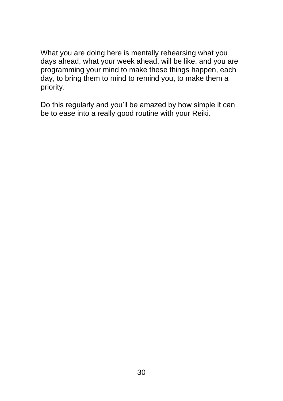What you are doing here is mentally rehearsing what you days ahead, what your week ahead, will be like, and you are programming your mind to make these things happen, each day, to bring them to mind to remind you, to make them a priority.

Do this regularly and you'll be amazed by how simple it can be to ease into a really good routine with your Reiki.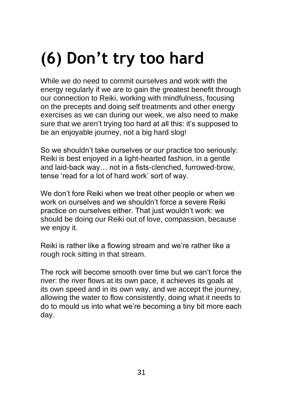## **(6) Don't try too hard**

While we do need to commit ourselves and work with the energy regularly if we are to gain the greatest benefit through our connection to Reiki, working with mindfulness, focusing on the precepts and doing self treatments and other energy exercises as we can during our week, we also need to make sure that we aren't trying too hard at all this: it's supposed to be an enjoyable journey, not a big hard slog!

So we shouldn't take ourselves or our practice too seriously: Reiki is best enjoyed in a light-hearted fashion, in a gentle and laid-back way… not in a fists-clenched, furrowed-brow, tense 'read for a lot of hard work' sort of way.

We don't fore Reiki when we treat other people or when we work on ourselves and we shouldn't force a severe Reiki practice on ourselves either. That just wouldn't work: we should be doing our Reiki out of love, compassion, because we enjoy it.

Reiki is rather like a flowing stream and we're rather like a rough rock sitting in that stream.

The rock will become smooth over time but we can't force the river: the river flows at its own pace, it achieves its goals at its own speed and in its own way, and we accept the journey, allowing the water to flow consistently, doing what it needs to do to mould us into what we're becoming a tiny bit more each day.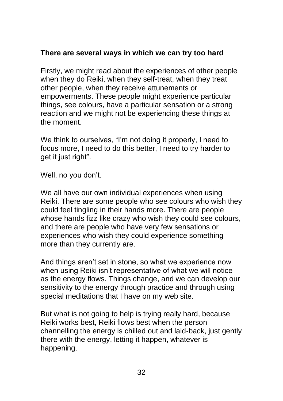#### **There are several ways in which we can try too hard**

Firstly, we might read about the experiences of other people when they do Reiki, when they self-treat, when they treat other people, when they receive attunements or empowerments. These people might experience particular things, see colours, have a particular sensation or a strong reaction and we might not be experiencing these things at the moment.

We think to ourselves, "I'm not doing it properly, I need to focus more, I need to do this better, I need to try harder to get it just right".

Well, no you don't.

We all have our own individual experiences when using Reiki. There are some people who see colours who wish they could feel tingling in their hands more. There are people whose hands fizz like crazy who wish they could see colours, and there are people who have very few sensations or experiences who wish they could experience something more than they currently are.

And things aren't set in stone, so what we experience now when using Reiki isn't representative of what we will notice as the energy flows. Things change, and we can develop our sensitivity to the energy through practice and through using special meditations that I have on my web site.

But what is not going to help is trying really hard, because Reiki works best, Reiki flows best when the person channelling the energy is chilled out and laid-back, just gently there with the energy, letting it happen, whatever is happening.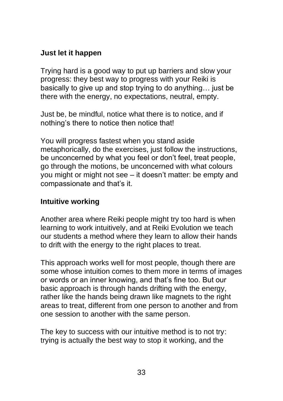#### **Just let it happen**

Trying hard is a good way to put up barriers and slow your progress: they best way to progress with your Reiki is basically to give up and stop trying to do anything… just be there with the energy, no expectations, neutral, empty.

Just be, be mindful, notice what there is to notice, and if nothing's there to notice then notice that!

You will progress fastest when you stand aside metaphorically, do the exercises, just follow the instructions, be unconcerned by what you feel or don't feel, treat people, go through the motions, be unconcerned with what colours you might or might not see – it doesn't matter: be empty and compassionate and that's it.

#### **Intuitive working**

Another area where Reiki people might try too hard is when learning to work intuitively, and at Reiki Evolution we teach our students a method where they learn to allow their hands to drift with the energy to the right places to treat.

This approach works well for most people, though there are some whose intuition comes to them more in terms of images or words or an inner knowing, and that's fine too. But our basic approach is through hands drifting with the energy, rather like the hands being drawn like magnets to the right areas to treat, different from one person to another and from one session to another with the same person.

The key to success with our intuitive method is to not try: trying is actually the best way to stop it working, and the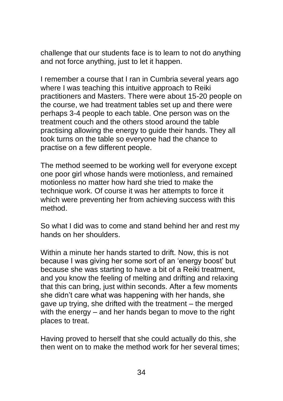challenge that our students face is to learn to not do anything and not force anything, just to let it happen.

I remember a course that I ran in Cumbria several years ago where I was teaching this intuitive approach to Reiki practitioners and Masters. There were about 15-20 people on the course, we had treatment tables set up and there were perhaps 3-4 people to each table. One person was on the treatment couch and the others stood around the table practising allowing the energy to guide their hands. They all took turns on the table so everyone had the chance to practise on a few different people.

The method seemed to be working well for everyone except one poor girl whose hands were motionless, and remained motionless no matter how hard she tried to make the technique work. Of course it was her attempts to force it which were preventing her from achieving success with this method.

So what I did was to come and stand behind her and rest my hands on her shoulders.

Within a minute her hands started to drift. Now, this is not because I was giving her some sort of an 'energy boost' but because she was starting to have a bit of a Reiki treatment, and you know the feeling of melting and drifting and relaxing that this can bring, just within seconds. After a few moments she didn't care what was happening with her hands, she gave up trying, she drifted with the treatment – the merged with the energy  $-$  and her hands began to move to the right places to treat.

Having proved to herself that she could actually do this, she then went on to make the method work for her several times;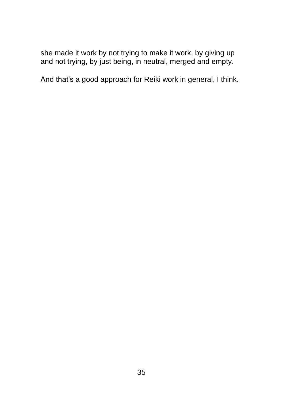she made it work by not trying to make it work, by giving up and not trying, by just being, in neutral, merged and empty.

And that's a good approach for Reiki work in general, I think.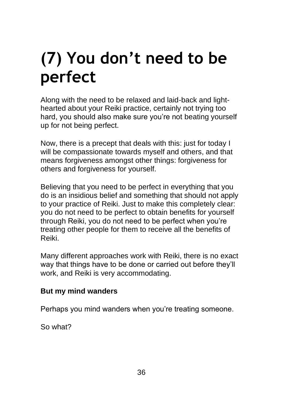### **(7) You don't need to be perfect**

Along with the need to be relaxed and laid-back and lighthearted about your Reiki practice, certainly not trying too hard, you should also make sure you're not beating yourself up for not being perfect.

Now, there is a precept that deals with this: just for today I will be compassionate towards myself and others, and that means forgiveness amongst other things: forgiveness for others and forgiveness for yourself.

Believing that you need to be perfect in everything that you do is an insidious belief and something that should not apply to your practice of Reiki. Just to make this completely clear: you do not need to be perfect to obtain benefits for yourself through Reiki, you do not need to be perfect when you're treating other people for them to receive all the benefits of Reiki.

Many different approaches work with Reiki, there is no exact way that things have to be done or carried out before they'll work, and Reiki is very accommodating.

#### **But my mind wanders**

Perhaps you mind wanders when you're treating someone.

So what?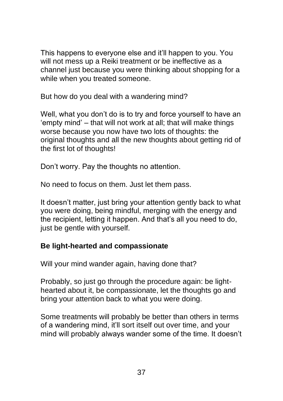This happens to everyone else and it'll happen to you. You will not mess up a Reiki treatment or be ineffective as a channel just because you were thinking about shopping for a while when you treated someone.

But how do you deal with a wandering mind?

Well, what you don't do is to try and force yourself to have an 'empty mind' – that will not work at all; that will make things worse because you now have two lots of thoughts: the original thoughts and all the new thoughts about getting rid of the first lot of thoughts!

Don't worry. Pay the thoughts no attention.

No need to focus on them. Just let them pass.

It doesn't matter, just bring your attention gently back to what you were doing, being mindful, merging with the energy and the recipient, letting it happen. And that's all you need to do, just be gentle with yourself.

#### **Be light-hearted and compassionate**

Will your mind wander again, having done that?

Probably, so just go through the procedure again: be lighthearted about it, be compassionate, let the thoughts go and bring your attention back to what you were doing.

Some treatments will probably be better than others in terms of a wandering mind, it'll sort itself out over time, and your mind will probably always wander some of the time. It doesn't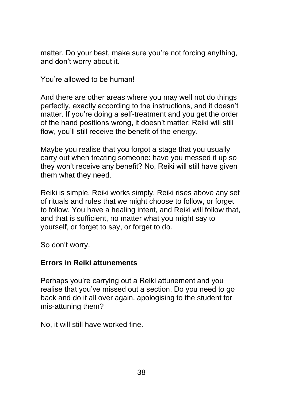matter. Do your best, make sure you're not forcing anything, and don't worry about it.

You're allowed to be human!

And there are other areas where you may well not do things perfectly, exactly according to the instructions, and it doesn't matter. If you're doing a self-treatment and you get the order of the hand positions wrong, it doesn't matter: Reiki will still flow, you'll still receive the benefit of the energy.

Maybe you realise that you forgot a stage that you usually carry out when treating someone: have you messed it up so they won't receive any benefit? No, Reiki will still have given them what they need.

Reiki is simple, Reiki works simply, Reiki rises above any set of rituals and rules that we might choose to follow, or forget to follow. You have a healing intent, and Reiki will follow that, and that is sufficient, no matter what you might say to yourself, or forget to say, or forget to do.

So don't worry.

#### **Errors in Reiki attunements**

Perhaps you're carrying out a Reiki attunement and you realise that you've missed out a section. Do you need to go back and do it all over again, apologising to the student for mis-attuning them?

No, it will still have worked fine.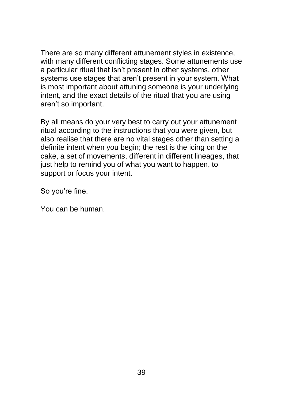There are so many different attunement styles in existence, with many different conflicting stages. Some attunements use a particular ritual that isn't present in other systems, other systems use stages that aren't present in your system. What is most important about attuning someone is your underlying intent, and the exact details of the ritual that you are using aren't so important.

By all means do your very best to carry out your attunement ritual according to the instructions that you were given, but also realise that there are no vital stages other than setting a definite intent when you begin; the rest is the icing on the cake, a set of movements, different in different lineages, that just help to remind you of what you want to happen, to support or focus your intent.

So you're fine.

You can be human.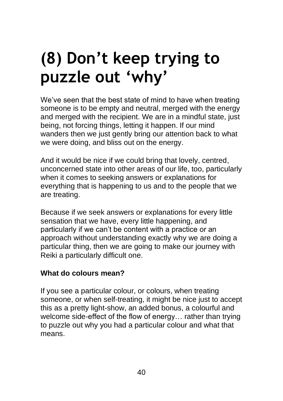### **(8) Don't keep trying to puzzle out 'why'**

We've seen that the best state of mind to have when treating someone is to be empty and neutral, merged with the energy and merged with the recipient. We are in a mindful state, just being, not forcing things, letting it happen. If our mind wanders then we just gently bring our attention back to what we were doing, and bliss out on the energy.

And it would be nice if we could bring that lovely, centred, unconcerned state into other areas of our life, too, particularly when it comes to seeking answers or explanations for everything that is happening to us and to the people that we are treating.

Because if we seek answers or explanations for every little sensation that we have, every little happening, and particularly if we can't be content with a practice or an approach without understanding exactly why we are doing a particular thing, then we are going to make our journey with Reiki a particularly difficult one.

#### **What do colours mean?**

If you see a particular colour, or colours, when treating someone, or when self-treating, it might be nice just to accept this as a pretty light-show, an added bonus, a colourful and welcome side-effect of the flow of energy… rather than trying to puzzle out why you had a particular colour and what that means.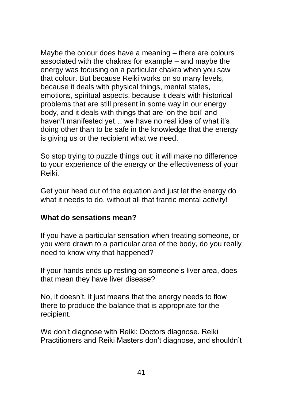Maybe the colour does have a meaning – there are colours associated with the chakras for example – and maybe the energy was focusing on a particular chakra when you saw that colour. But because Reiki works on so many levels, because it deals with physical things, mental states, emotions, spiritual aspects, because it deals with historical problems that are still present in some way in our energy body, and it deals with things that are 'on the boil' and haven't manifested yet… we have no real idea of what it's doing other than to be safe in the knowledge that the energy is giving us or the recipient what we need.

So stop trying to puzzle things out: it will make no difference to your experience of the energy or the effectiveness of your Reiki.

Get your head out of the equation and just let the energy do what it needs to do, without all that frantic mental activity!

#### **What do sensations mean?**

If you have a particular sensation when treating someone, or you were drawn to a particular area of the body, do you really need to know why that happened?

If your hands ends up resting on someone's liver area, does that mean they have liver disease?

No, it doesn't, it just means that the energy needs to flow there to produce the balance that is appropriate for the recipient.

We don't diagnose with Reiki: Doctors diagnose. Reiki Practitioners and Reiki Masters don't diagnose, and shouldn't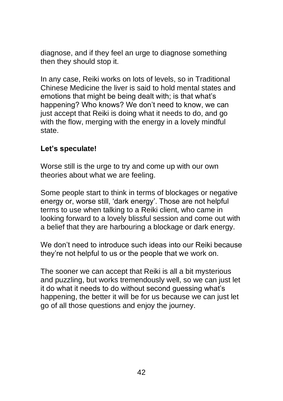diagnose, and if they feel an urge to diagnose something then they should stop it.

In any case, Reiki works on lots of levels, so in Traditional Chinese Medicine the liver is said to hold mental states and emotions that might be being dealt with; is that what's happening? Who knows? We don't need to know, we can just accept that Reiki is doing what it needs to do, and go with the flow, merging with the energy in a lovely mindful state.

#### **Let's speculate!**

Worse still is the urge to try and come up with our own theories about what we are feeling.

Some people start to think in terms of blockages or negative energy or, worse still, 'dark energy'. Those are not helpful terms to use when talking to a Reiki client, who came in looking forward to a lovely blissful session and come out with a belief that they are harbouring a blockage or dark energy.

We don't need to introduce such ideas into our Reiki because they're not helpful to us or the people that we work on.

The sooner we can accept that Reiki is all a bit mysterious and puzzling, but works tremendously well, so we can just let it do what it needs to do without second guessing what's happening, the better it will be for us because we can just let go of all those questions and enjoy the journey.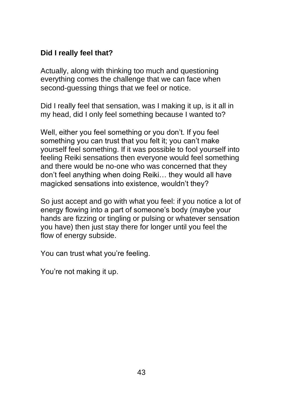#### **Did I really feel that?**

Actually, along with thinking too much and questioning everything comes the challenge that we can face when second-guessing things that we feel or notice.

Did I really feel that sensation, was I making it up, is it all in my head, did I only feel something because I wanted to?

Well, either you feel something or you don't. If you feel something you can trust that you felt it; you can't make yourself feel something. If it was possible to fool yourself into feeling Reiki sensations then everyone would feel something and there would be no-one who was concerned that they don't feel anything when doing Reiki… they would all have magicked sensations into existence, wouldn't they?

So just accept and go with what you feel: if you notice a lot of energy flowing into a part of someone's body (maybe your hands are fizzing or tingling or pulsing or whatever sensation you have) then just stay there for longer until you feel the flow of energy subside.

You can trust what you're feeling.

You're not making it up.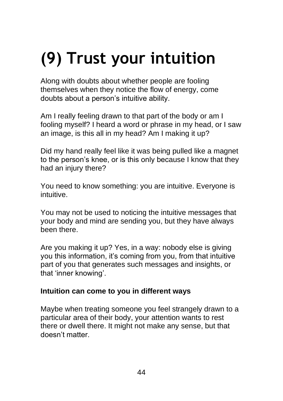# **(9) Trust your intuition**

Along with doubts about whether people are fooling themselves when they notice the flow of energy, come doubts about a person's intuitive ability.

Am I really feeling drawn to that part of the body or am I fooling myself? I heard a word or phrase in my head, or I saw an image, is this all in my head? Am I making it up?

Did my hand really feel like it was being pulled like a magnet to the person's knee, or is this only because I know that they had an injury there?

You need to know something: you are intuitive. Everyone is intuitive.

You may not be used to noticing the intuitive messages that your body and mind are sending you, but they have always been there.

Are you making it up? Yes, in a way: nobody else is giving you this information, it's coming from you, from that intuitive part of you that generates such messages and insights, or that 'inner knowing'.

#### **Intuition can come to you in different ways**

Maybe when treating someone you feel strangely drawn to a particular area of their body, your attention wants to rest there or dwell there. It might not make any sense, but that doesn't matter.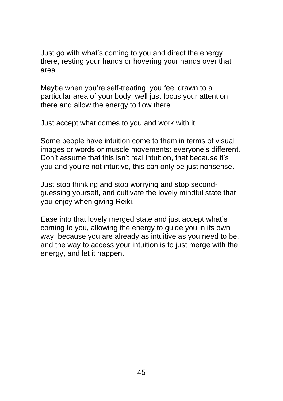Just go with what's coming to you and direct the energy there, resting your hands or hovering your hands over that area.

Maybe when you're self-treating, you feel drawn to a particular area of your body, well just focus your attention there and allow the energy to flow there.

Just accept what comes to you and work with it.

Some people have intuition come to them in terms of visual images or words or muscle movements: everyone's different. Don't assume that this isn't real intuition, that because it's you and you're not intuitive, this can only be just nonsense.

Just stop thinking and stop worrying and stop secondguessing yourself, and cultivate the lovely mindful state that you enjoy when giving Reiki.

Ease into that lovely merged state and just accept what's coming to you, allowing the energy to guide you in its own way, because you are already as intuitive as you need to be, and the way to access your intuition is to just merge with the energy, and let it happen.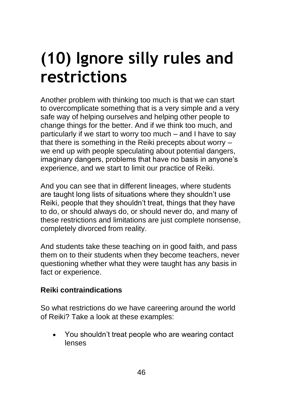### **(10) Ignore silly rules and restrictions**

Another problem with thinking too much is that we can start to overcomplicate something that is a very simple and a very safe way of helping ourselves and helping other people to change things for the better. And if we think too much, and particularly if we start to worry too much – and I have to say that there is something in the Reiki precepts about worry – we end up with people speculating about potential dangers, imaginary dangers, problems that have no basis in anyone's experience, and we start to limit our practice of Reiki.

And you can see that in different lineages, where students are taught long lists of situations where they shouldn't use Reiki, people that they shouldn't treat, things that they have to do, or should always do, or should never do, and many of these restrictions and limitations are just complete nonsense, completely divorced from reality.

And students take these teaching on in good faith, and pass them on to their students when they become teachers, never questioning whether what they were taught has any basis in fact or experience.

#### **Reiki contraindications**

So what restrictions do we have careering around the world of Reiki? Take a look at these examples:

• You shouldn't treat people who are wearing contact lenses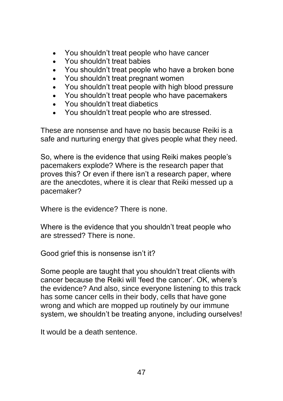- You shouldn't treat people who have cancer
- You shouldn't treat babies
- You shouldn't treat people who have a broken bone
- You shouldn't treat pregnant women
- You shouldn't treat people with high blood pressure
- You shouldn't treat people who have pacemakers
- You shouldn't treat diabetics
- You shouldn't treat people who are stressed.

These are nonsense and have no basis because Reiki is a safe and nurturing energy that gives people what they need.

So, where is the evidence that using Reiki makes people's pacemakers explode? Where is the research paper that proves this? Or even if there isn't a research paper, where are the anecdotes, where it is clear that Reiki messed up a pacemaker?

Where is the evidence? There is none.

Where is the evidence that you shouldn't treat people who are stressed? There is none.

Good grief this is nonsense isn't it?

Some people are taught that you shouldn't treat clients with cancer because the Reiki will 'feed the cancer'. OK, where's the evidence? And also, since everyone listening to this track has some cancer cells in their body, cells that have gone wrong and which are mopped up routinely by our immune system, we shouldn't be treating anyone, including ourselves!

It would be a death sentence.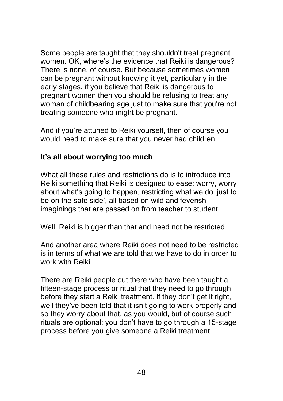Some people are taught that they shouldn't treat pregnant women. OK, where's the evidence that Reiki is dangerous? There is none, of course. But because sometimes women can be pregnant without knowing it yet, particularly in the early stages, if you believe that Reiki is dangerous to pregnant women then you should be refusing to treat any woman of childbearing age just to make sure that you're not treating someone who might be pregnant.

And if you're attuned to Reiki yourself, then of course you would need to make sure that you never had children.

#### **It's all about worrying too much**

What all these rules and restrictions do is to introduce into Reiki something that Reiki is designed to ease: worry, worry about what's going to happen, restricting what we do 'just to be on the safe side', all based on wild and feverish imaginings that are passed on from teacher to student.

Well, Reiki is bigger than that and need not be restricted.

And another area where Reiki does not need to be restricted is in terms of what we are told that we have to do in order to work with Reiki.

There are Reiki people out there who have been taught a fifteen-stage process or ritual that they need to go through before they start a Reiki treatment. If they don't get it right, well they've been told that it isn't going to work properly and so they worry about that, as you would, but of course such rituals are optional: you don't have to go through a 15-stage process before you give someone a Reiki treatment.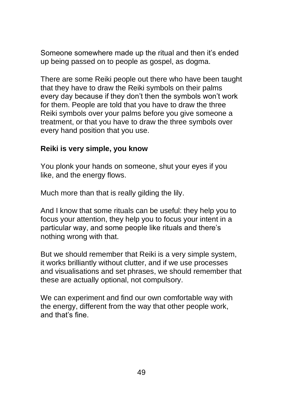Someone somewhere made up the ritual and then it's ended up being passed on to people as gospel, as dogma.

There are some Reiki people out there who have been taught that they have to draw the Reiki symbols on their palms every day because if they don't then the symbols won't work for them. People are told that you have to draw the three Reiki symbols over your palms before you give someone a treatment, or that you have to draw the three symbols over every hand position that you use.

#### **Reiki is very simple, you know**

You plonk your hands on someone, shut your eyes if you like, and the energy flows.

Much more than that is really gilding the lily.

And I know that some rituals can be useful: they help you to focus your attention, they help you to focus your intent in a particular way, and some people like rituals and there's nothing wrong with that.

But we should remember that Reiki is a very simple system, it works brilliantly without clutter, and if we use processes and visualisations and set phrases, we should remember that these are actually optional, not compulsory.

We can experiment and find our own comfortable way with the energy, different from the way that other people work, and that's fine.